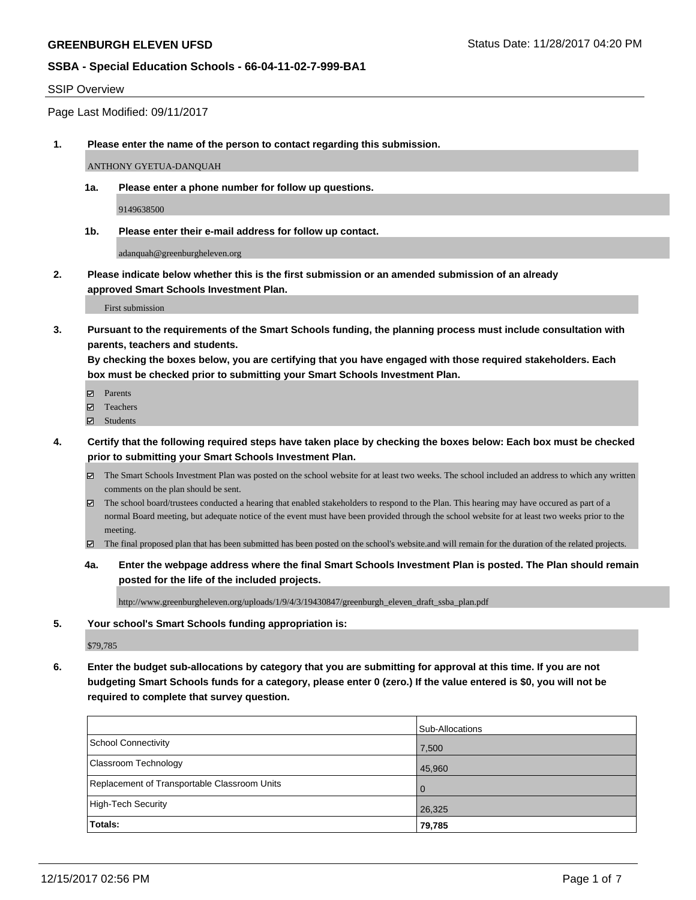#### SSIP Overview

Page Last Modified: 09/11/2017

**1. Please enter the name of the person to contact regarding this submission.**

ANTHONY GYETUA-DANQUAH

**1a. Please enter a phone number for follow up questions.**

9149638500

**1b. Please enter their e-mail address for follow up contact.**

adanquah@greenburgheleven.org

**2. Please indicate below whether this is the first submission or an amended submission of an already approved Smart Schools Investment Plan.**

First submission

**3. Pursuant to the requirements of the Smart Schools funding, the planning process must include consultation with parents, teachers and students.**

**By checking the boxes below, you are certifying that you have engaged with those required stakeholders. Each box must be checked prior to submitting your Smart Schools Investment Plan.**

- **Ø** Parents
- **□** Teachers
- Students
- **4. Certify that the following required steps have taken place by checking the boxes below: Each box must be checked prior to submitting your Smart Schools Investment Plan.**
	- The Smart Schools Investment Plan was posted on the school website for at least two weeks. The school included an address to which any written comments on the plan should be sent.
	- $\boxtimes$  The school board/trustees conducted a hearing that enabled stakeholders to respond to the Plan. This hearing may have occured as part of a normal Board meeting, but adequate notice of the event must have been provided through the school website for at least two weeks prior to the meeting.
	- The final proposed plan that has been submitted has been posted on the school's website.and will remain for the duration of the related projects.
	- **4a. Enter the webpage address where the final Smart Schools Investment Plan is posted. The Plan should remain posted for the life of the included projects.**

http://www.greenburgheleven.org/uploads/1/9/4/3/19430847/greenburgh\_eleven\_draft\_ssba\_plan.pdf

**5. Your school's Smart Schools funding appropriation is:**

\$79,785

**6. Enter the budget sub-allocations by category that you are submitting for approval at this time. If you are not budgeting Smart Schools funds for a category, please enter 0 (zero.) If the value entered is \$0, you will not be required to complete that survey question.**

|                                              | Sub-Allocations |
|----------------------------------------------|-----------------|
| School Connectivity                          | 7,500           |
| Classroom Technology                         | 45,960          |
| Replacement of Transportable Classroom Units | l O             |
| High-Tech Security                           | 26,325          |
| Totals:                                      | 79,785          |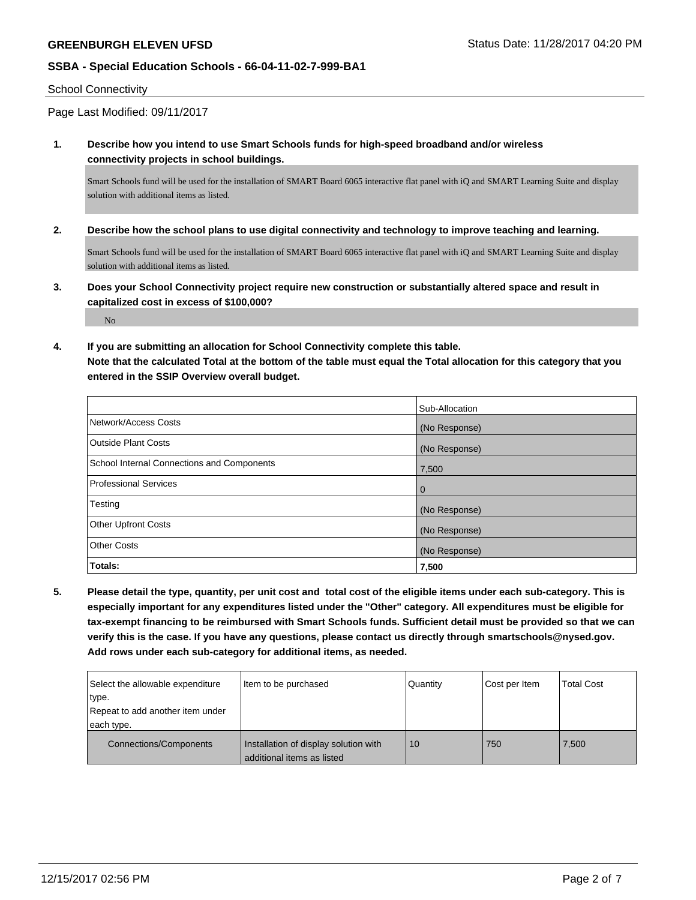#### School Connectivity

Page Last Modified: 09/11/2017

**1. Describe how you intend to use Smart Schools funds for high-speed broadband and/or wireless connectivity projects in school buildings.**

Smart Schools fund will be used for the installation of SMART Board 6065 interactive flat panel with iQ and SMART Learning Suite and display solution with additional items as listed.

**2. Describe how the school plans to use digital connectivity and technology to improve teaching and learning.**

Smart Schools fund will be used for the installation of SMART Board 6065 interactive flat panel with iQ and SMART Learning Suite and display solution with additional items as listed.

**3. Does your School Connectivity project require new construction or substantially altered space and result in capitalized cost in excess of \$100,000?**

No

**4. If you are submitting an allocation for School Connectivity complete this table.**

**Note that the calculated Total at the bottom of the table must equal the Total allocation for this category that you entered in the SSIP Overview overall budget.** 

|                                            | Sub-Allocation |
|--------------------------------------------|----------------|
| Network/Access Costs                       | (No Response)  |
| <b>Outside Plant Costs</b>                 | (No Response)  |
| School Internal Connections and Components | 7,500          |
| <b>Professional Services</b>               | $\overline{0}$ |
| Testing                                    | (No Response)  |
| <b>Other Upfront Costs</b>                 | (No Response)  |
| <b>Other Costs</b>                         | (No Response)  |
| Totals:                                    | 7,500          |

**5. Please detail the type, quantity, per unit cost and total cost of the eligible items under each sub-category. This is especially important for any expenditures listed under the "Other" category. All expenditures must be eligible for tax-exempt financing to be reimbursed with Smart Schools funds. Sufficient detail must be provided so that we can verify this is the case. If you have any questions, please contact us directly through smartschools@nysed.gov. Add rows under each sub-category for additional items, as needed.**

| Select the allowable expenditure | Item to be purchased                                                  | Quantity | Cost per Item | <b>Total Cost</b> |
|----------------------------------|-----------------------------------------------------------------------|----------|---------------|-------------------|
| type.                            |                                                                       |          |               |                   |
| Repeat to add another item under |                                                                       |          |               |                   |
| each type.                       |                                                                       |          |               |                   |
| Connections/Components           | Installation of display solution with<br>l additional items as listed | 10       | 750           | 7,500             |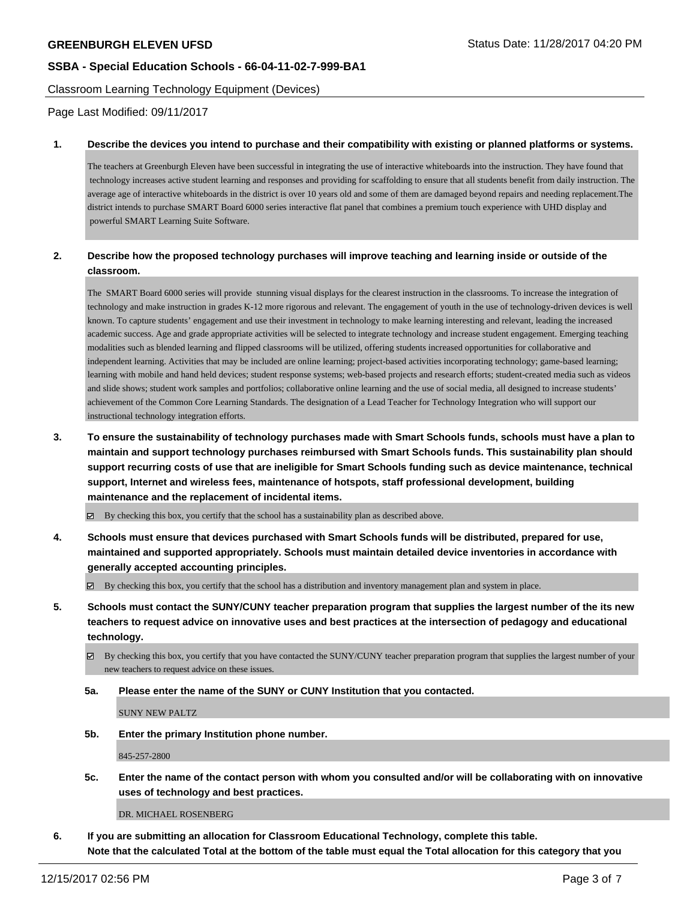Classroom Learning Technology Equipment (Devices)

Page Last Modified: 09/11/2017

#### **1. Describe the devices you intend to purchase and their compatibility with existing or planned platforms or systems.**

The teachers at Greenburgh Eleven have been successful in integrating the use of interactive whiteboards into the instruction. They have found that technology increases active student learning and responses and providing for scaffolding to ensure that all students benefit from daily instruction. The average age of interactive whiteboards in the district is over 10 years old and some of them are damaged beyond repairs and needing replacement.The district intends to purchase SMART Board 6000 series interactive flat panel that combines a premium touch experience with UHD display and powerful SMART Learning Suite Software.

# **2. Describe how the proposed technology purchases will improve teaching and learning inside or outside of the classroom.**

The SMART Board 6000 series will provide stunning visual displays for the clearest instruction in the classrooms. To increase the integration of technology and make instruction in grades K-12 more rigorous and relevant. The engagement of youth in the use of technology-driven devices is well known. To capture students' engagement and use their investment in technology to make learning interesting and relevant, leading the increased academic success. Age and grade appropriate activities will be selected to integrate technology and increase student engagement. Emerging teaching modalities such as blended learning and flipped classrooms will be utilized, offering students increased opportunities for collaborative and independent learning. Activities that may be included are online learning; project-based activities incorporating technology; game-based learning; learning with mobile and hand held devices; student response systems; web-based projects and research efforts; student-created media such as videos and slide shows; student work samples and portfolios; collaborative online learning and the use of social media, all designed to increase students' achievement of the Common Core Learning Standards. The designation of a Lead Teacher for Technology Integration who will support our instructional technology integration efforts.

**3. To ensure the sustainability of technology purchases made with Smart Schools funds, schools must have a plan to maintain and support technology purchases reimbursed with Smart Schools funds. This sustainability plan should support recurring costs of use that are ineligible for Smart Schools funding such as device maintenance, technical support, Internet and wireless fees, maintenance of hotspots, staff professional development, building maintenance and the replacement of incidental items.**

 $\boxtimes$  By checking this box, you certify that the school has a sustainability plan as described above.

**4. Schools must ensure that devices purchased with Smart Schools funds will be distributed, prepared for use, maintained and supported appropriately. Schools must maintain detailed device inventories in accordance with generally accepted accounting principles.**

By checking this box, you certify that the school has a distribution and inventory management plan and system in place.

- **5. Schools must contact the SUNY/CUNY teacher preparation program that supplies the largest number of the its new teachers to request advice on innovative uses and best practices at the intersection of pedagogy and educational technology.**
	- By checking this box, you certify that you have contacted the SUNY/CUNY teacher preparation program that supplies the largest number of your new teachers to request advice on these issues.
	- **5a. Please enter the name of the SUNY or CUNY Institution that you contacted.**

SUNY NEW PALTZ

**5b. Enter the primary Institution phone number.**

845-257-2800

**5c. Enter the name of the contact person with whom you consulted and/or will be collaborating with on innovative uses of technology and best practices.**

DR. MICHAEL ROSENBERG

**6. If you are submitting an allocation for Classroom Educational Technology, complete this table. Note that the calculated Total at the bottom of the table must equal the Total allocation for this category that you**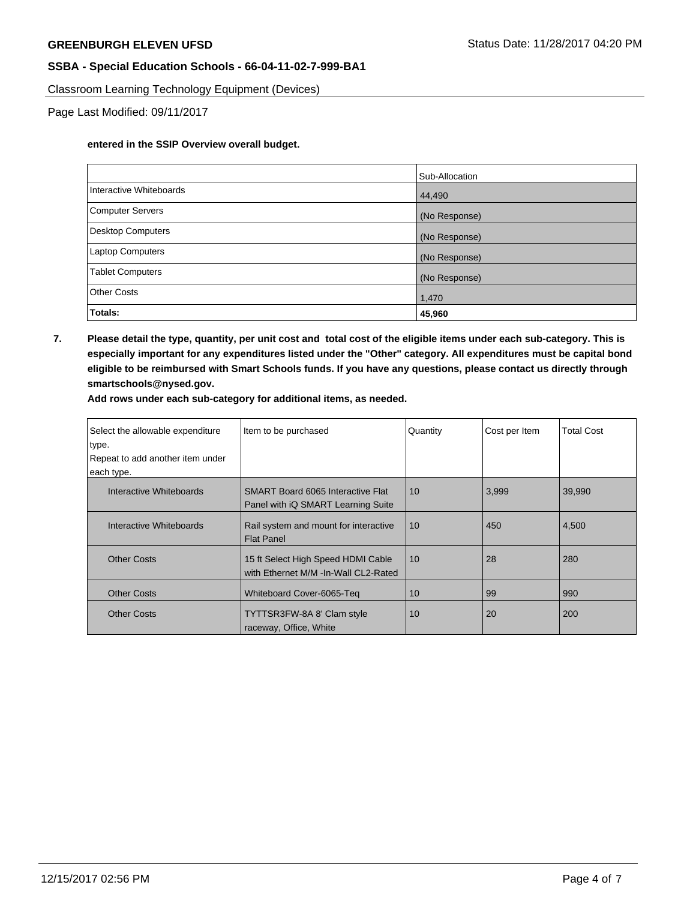Classroom Learning Technology Equipment (Devices)

Page Last Modified: 09/11/2017

#### **entered in the SSIP Overview overall budget.**

|                          | Sub-Allocation |
|--------------------------|----------------|
| Interactive Whiteboards  | 44,490         |
| <b>Computer Servers</b>  | (No Response)  |
| <b>Desktop Computers</b> | (No Response)  |
| Laptop Computers         | (No Response)  |
| <b>Tablet Computers</b>  | (No Response)  |
| <b>Other Costs</b>       | 1,470          |
| Totals:                  | 45,960         |

**7. Please detail the type, quantity, per unit cost and total cost of the eligible items under each sub-category. This is especially important for any expenditures listed under the "Other" category. All expenditures must be capital bond eligible to be reimbursed with Smart Schools funds. If you have any questions, please contact us directly through smartschools@nysed.gov.**

**Add rows under each sub-category for additional items, as needed.**

| Select the allowable expenditure<br>type.<br>Repeat to add another item under<br>each type. | Item to be purchased                                                             | Quantity | Cost per Item | <b>Total Cost</b> |
|---------------------------------------------------------------------------------------------|----------------------------------------------------------------------------------|----------|---------------|-------------------|
| Interactive Whiteboards                                                                     | <b>SMART Board 6065 Interactive Flat</b><br>Panel with $iQ$ SMART Learning Suite | 10       | 3,999         | 39,990            |
| Interactive Whiteboards                                                                     | Rail system and mount for interactive<br><b>Flat Panel</b>                       | 10       | 450           | 4,500             |
| <b>Other Costs</b>                                                                          | 15 ft Select High Speed HDMI Cable<br>with Ethernet M/M -In-Wall CL2-Rated       | 10       | 28            | 280               |
| <b>Other Costs</b>                                                                          | Whiteboard Cover-6065-Teg                                                        | 10       | 99            | 990               |
| <b>Other Costs</b>                                                                          | TYTTSR3FW-8A 8' Clam style<br>raceway, Office, White                             | 10       | 20            | 200               |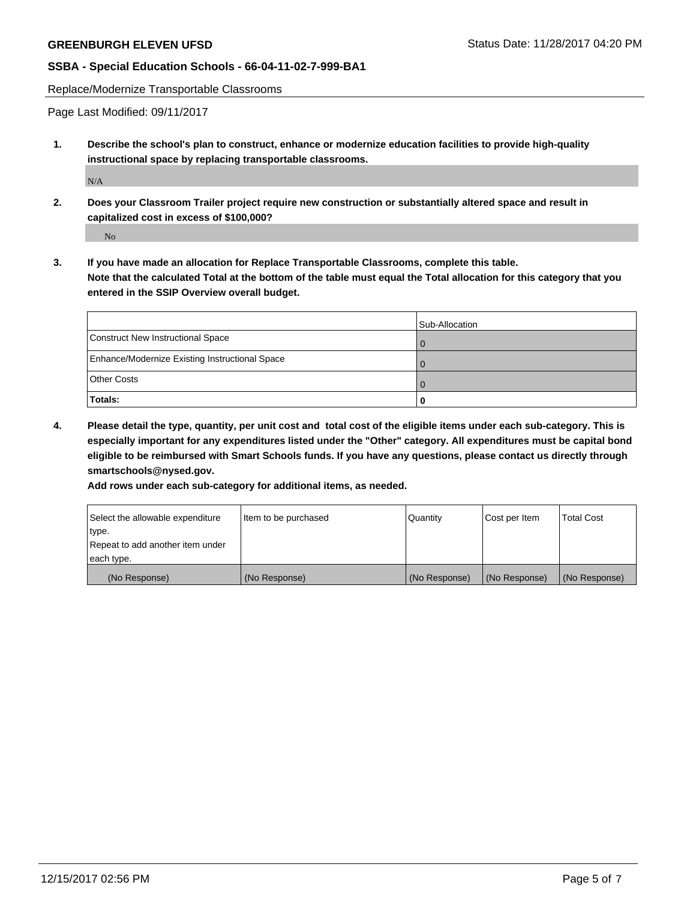Replace/Modernize Transportable Classrooms

Page Last Modified: 09/11/2017

**1. Describe the school's plan to construct, enhance or modernize education facilities to provide high-quality instructional space by replacing transportable classrooms.**

N/A

**2. Does your Classroom Trailer project require new construction or substantially altered space and result in capitalized cost in excess of \$100,000?**

No

**3. If you have made an allocation for Replace Transportable Classrooms, complete this table. Note that the calculated Total at the bottom of the table must equal the Total allocation for this category that you entered in the SSIP Overview overall budget.**

|                                                | Sub-Allocation |
|------------------------------------------------|----------------|
| Construct New Instructional Space              | $\Omega$       |
| Enhance/Modernize Existing Instructional Space | $\Omega$       |
| <b>Other Costs</b>                             | $\Omega$       |
| Totals:                                        | O              |

**4. Please detail the type, quantity, per unit cost and total cost of the eligible items under each sub-category. This is especially important for any expenditures listed under the "Other" category. All expenditures must be capital bond eligible to be reimbursed with Smart Schools funds. If you have any questions, please contact us directly through smartschools@nysed.gov.**

**Add rows under each sub-category for additional items, as needed.**

| Select the allowable expenditure | Item to be purchased | Quantity      | Cost per Item | <b>Total Cost</b> |
|----------------------------------|----------------------|---------------|---------------|-------------------|
| ltype.                           |                      |               |               |                   |
| Repeat to add another item under |                      |               |               |                   |
| each type.                       |                      |               |               |                   |
| (No Response)                    | (No Response)        | (No Response) | (No Response) | (No Response)     |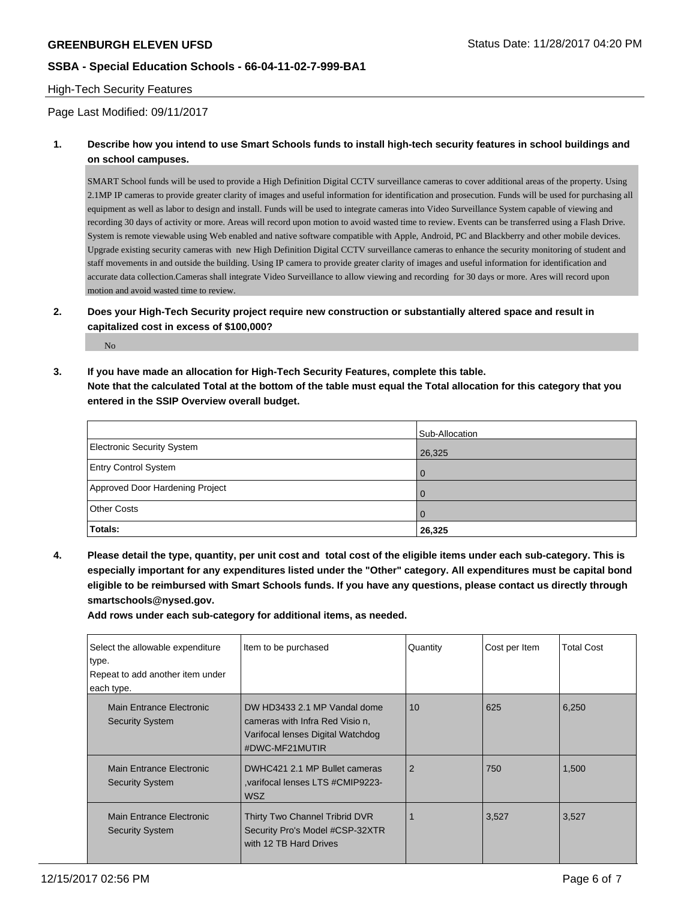### High-Tech Security Features

### Page Last Modified: 09/11/2017

# **1. Describe how you intend to use Smart Schools funds to install high-tech security features in school buildings and on school campuses.**

SMART School funds will be used to provide a High Definition Digital CCTV surveillance cameras to cover additional areas of the property. Using 2.1MP IP cameras to provide greater clarity of images and useful information for identification and prosecution. Funds will be used for purchasing all equipment as well as labor to design and install. Funds will be used to integrate cameras into Video Surveillance System capable of viewing and recording 30 days of activity or more. Areas will record upon motion to avoid wasted time to review. Events can be transferred using a Flash Drive. System is remote viewable using Web enabled and native software compatible with Apple, Android, PC and Blackberry and other mobile devices. Upgrade existing security cameras with new High Definition Digital CCTV surveillance cameras to enhance the security monitoring of student and staff movements in and outside the building. Using IP camera to provide greater clarity of images and useful information for identification and accurate data collection.Cameras shall integrate Video Surveillance to allow viewing and recording for 30 days or more. Ares will record upon motion and avoid wasted time to review.

# **2. Does your High-Tech Security project require new construction or substantially altered space and result in capitalized cost in excess of \$100,000?**

No

**3. If you have made an allocation for High-Tech Security Features, complete this table. Note that the calculated Total at the bottom of the table must equal the Total allocation for this category that you entered in the SSIP Overview overall budget.**

|                                 | Sub-Allocation |
|---------------------------------|----------------|
| Electronic Security System      | 26,325         |
| <b>Entry Control System</b>     | l O            |
| Approved Door Hardening Project | l 0            |
| <b>Other Costs</b>              | l O            |
| Totals:                         | 26,325         |

**4. Please detail the type, quantity, per unit cost and total cost of the eligible items under each sub-category. This is especially important for any expenditures listed under the "Other" category. All expenditures must be capital bond eligible to be reimbursed with Smart Schools funds. If you have any questions, please contact us directly through smartschools@nysed.gov.**

**Add rows under each sub-category for additional items, as needed.**

| Select the allowable expenditure<br>type.<br>Repeat to add another item under<br>each type. | Item to be purchased                                                                                                   | Quantity       | Cost per Item | <b>Total Cost</b> |
|---------------------------------------------------------------------------------------------|------------------------------------------------------------------------------------------------------------------------|----------------|---------------|-------------------|
| Main Entrance Electronic<br><b>Security System</b>                                          | DW HD3433 2.1 MP Vandal dome<br>cameras with Infra Red Visio n.<br>Varifocal lenses Digital Watchdog<br>#DWC-MF21MUTIR | 10             | 625           | 6,250             |
| Main Entrance Electronic<br><b>Security System</b>                                          | DWHC421 2.1 MP Bullet cameras<br>varifocal lenses LTS #CMIP9223-<br><b>WSZ</b>                                         | $\overline{2}$ | 750           | 1,500             |
| Main Entrance Electronic<br><b>Security System</b>                                          | Thirty Two Channel Tribrid DVR<br>Security Pro's Model #CSP-32XTR<br>with 12 TB Hard Drives                            |                | 3,527         | 3,527             |